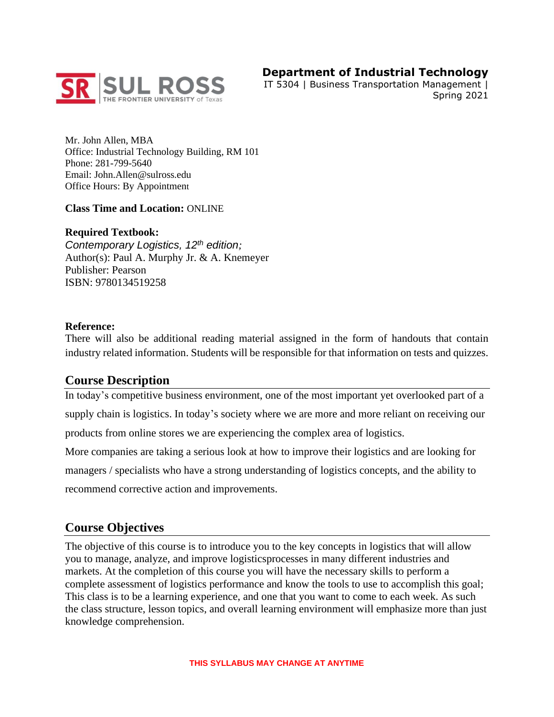

# **Department of Industrial Technology**

IT 5304 | Business Transportation Management | Spring 2021

Mr. John Allen, MBA Office: Industrial Technology Building, RM 101 Phone: 281-799-5640 Email: John.Allen@sulross.edu Office Hours: By Appointment

#### **Class Time and Location:** ONLINE

#### **Required Textbook:**

*Contemporary Logistics, 12th edition;*  Author(s): Paul A. Murphy Jr. & A. Knemeyer Publisher: Pearson ISBN: 9780134519258

#### **Reference:**

There will also be additional reading material assigned in the form of handouts that contain industry related information. Students will be responsible for that information on tests and quizzes.

### **Course Description**

In today's competitive business environment, one of the most important yet overlooked part of a supply chain is logistics. In today's society where we are more and more reliant on receiving our products from online stores we are experiencing the complex area of logistics.

More companies are taking a serious look at how to improve their logistics and are looking for managers / specialists who have a strong understanding of logistics concepts, and the ability to recommend corrective action and improvements.

### **Course Objectives**

The objective of this course is to introduce you to the key concepts in logistics that will allow you to manage, analyze, and improve logisticsprocesses in many different industries and markets. At the completion of this course you will have the necessary skills to perform a complete assessment of logistics performance and know the tools to use to accomplish this goal; This class is to be a learning experience, and one that you want to come to each week. As such the class structure, lesson topics, and overall learning environment will emphasize more than just knowledge comprehension.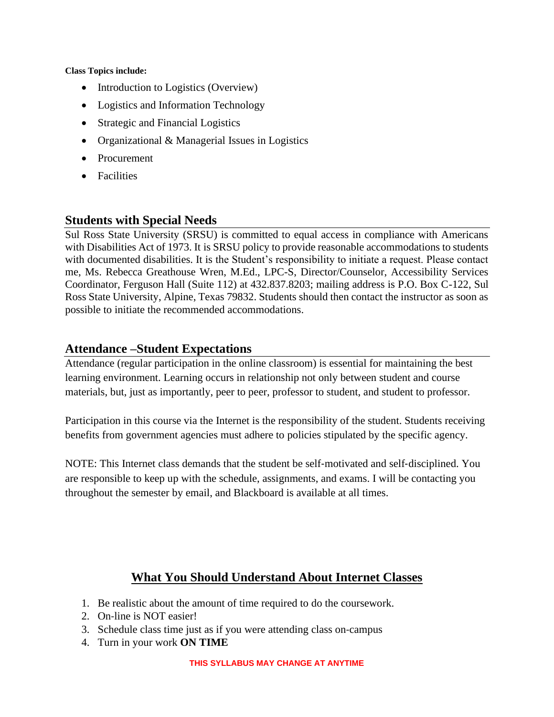**Class Topics include:**

- Introduction to Logistics (Overview)
- Logistics and Information Technology
- Strategic and Financial Logistics
- Organizational & Managerial Issues in Logistics
- Procurement
- Facilities

# **Students with Special Needs**

Sul Ross State University (SRSU) is committed to equal access in compliance with Americans with Disabilities Act of 1973. It is SRSU policy to provide reasonable accommodations to students with documented disabilities. It is the Student's responsibility to initiate a request. Please contact me, Ms. Rebecca Greathouse Wren, M.Ed., LPC-S, Director/Counselor, Accessibility Services Coordinator, Ferguson Hall (Suite 112) at 432.837.8203; mailing address is P.O. Box C-122, Sul Ross State University, Alpine, Texas 79832. Students should then contact the instructor as soon as possible to initiate the recommended accommodations.

### **Attendance –Student Expectations**

Attendance (regular participation in the online classroom) is essential for maintaining the best learning environment. Learning occurs in relationship not only between student and course materials, but, just as importantly, peer to peer, professor to student, and student to professor.

Participation in this course via the Internet is the responsibility of the student. Students receiving benefits from government agencies must adhere to policies stipulated by the specific agency.

NOTE: This Internet class demands that the student be self‐motivated and self‐disciplined. You are responsible to keep up with the schedule, assignments, and exams. I will be contacting you throughout the semester by email, and Blackboard is available at all times.

# **What You Should Understand About Internet Classes**

- 1. Be realistic about the amount of time required to do the coursework.
- 2. On‐line is NOT easier!
- 3. Schedule class time just as if you were attending class on‐campus
- 4. Turn in your work **ON TIME**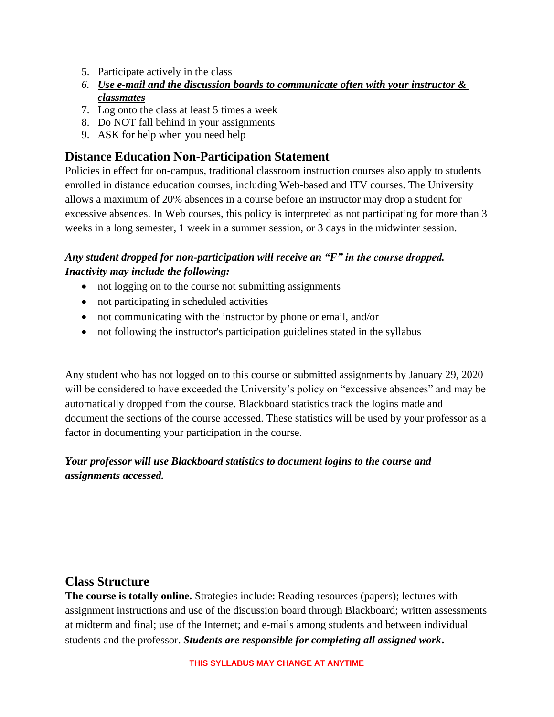- 5. Participate actively in the class
- *6. Use e‐mail and the discussion boards to communicate often with your instructor & classmates*
- 7. Log onto the class at least 5 times a week
- 8. Do NOT fall behind in your assignments
- 9. ASK for help when you need help

## **Distance Education Non-Participation Statement**

Policies in effect for on-campus, traditional classroom instruction courses also apply to students enrolled in distance education courses, including Web-based and ITV courses. The University allows a maximum of 20% absences in a course before an instructor may drop a student for excessive absences. In Web courses, this policy is interpreted as not participating for more than 3 weeks in a long semester, 1 week in a summer session, or 3 days in the midwinter session.

### *Any student dropped for non-participation will receive an "F" in the course dropped. Inactivity may include the following:*

- not logging on to the course not submitting assignments
- not participating in scheduled activities
- not communicating with the instructor by phone or email, and/or
- not following the instructor's participation guidelines stated in the syllabus

Any student who has not logged on to this course or submitted assignments by January 29, 2020 will be considered to have exceeded the University's policy on "excessive absences" and may be automatically dropped from the course. Blackboard statistics track the logins made and document the sections of the course accessed. These statistics will be used by your professor as a factor in documenting your participation in the course.

### *Your professor will use Blackboard statistics to document logins to the course and assignments accessed.*

### **Class Structure**

**The course is totally online.** Strategies include: Reading resources (papers); lectures with assignment instructions and use of the discussion board through Blackboard; written assessments at midterm and final; use of the Internet; and e‐mails among students and between individual students and the professor. *Students are responsible for completing all assigned work***.**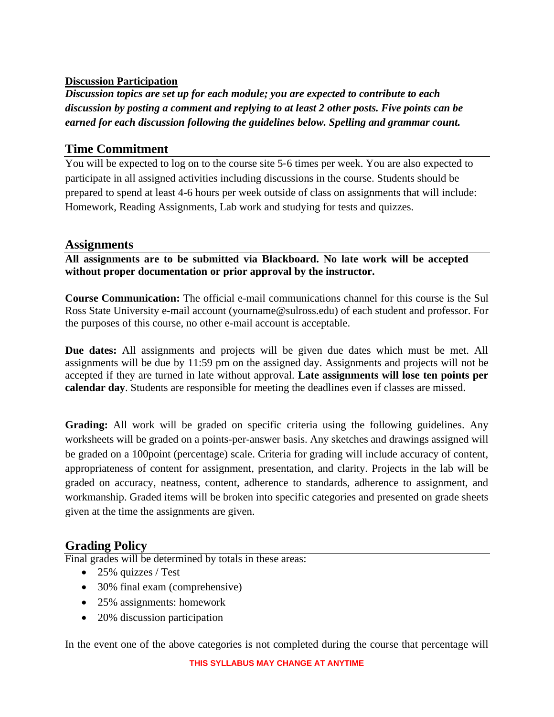### **Discussion Participation**

*Discussion topics are set up for each module; you are expected to contribute to each discussion by posting a comment and replying to at least 2 other posts. Five points can be earned for each discussion following the guidelines below. Spelling and grammar count.*

### **Time Commitment**

You will be expected to log on to the course site 5‐6 times per week. You are also expected to participate in all assigned activities including discussions in the course. Students should be prepared to spend at least 4-6 hours per week outside of class on assignments that will include: Homework, Reading Assignments, Lab work and studying for tests and quizzes.

### **Assignments**

**All assignments are to be submitted via Blackboard. No late work will be accepted without proper documentation or prior approval by the instructor.** 

**Course Communication:** The official e-mail communications channel for this course is the Sul Ross State University e-mail account (yourname@sulross.edu) of each student and professor. For the purposes of this course, no other e-mail account is acceptable.

**Due dates:** All assignments and projects will be given due dates which must be met. All assignments will be due by 11:59 pm on the assigned day. Assignments and projects will not be accepted if they are turned in late without approval. **Late assignments will lose ten points per calendar day**. Students are responsible for meeting the deadlines even if classes are missed.

**Grading:** All work will be graded on specific criteria using the following guidelines. Any worksheets will be graded on a points-per-answer basis. Any sketches and drawings assigned will be graded on a 100point (percentage) scale. Criteria for grading will include accuracy of content, appropriateness of content for assignment, presentation, and clarity. Projects in the lab will be graded on accuracy, neatness, content, adherence to standards, adherence to assignment, and workmanship. Graded items will be broken into specific categories and presented on grade sheets given at the time the assignments are given.

# **Grading Policy**

Final grades will be determined by totals in these areas:

- 25% quizzes / Test
- 30% final exam (comprehensive)
- 25% assignments: homework
- 20% discussion participation

In the event one of the above categories is not completed during the course that percentage will